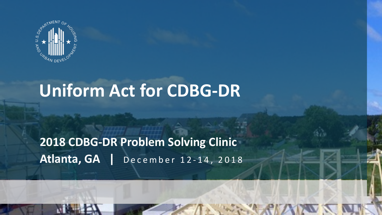

**2018 CDBG-DR PROGRAM** 

## **Uniform Act for CDBG-DR**

#### **2018 CDBG-DR Problem Solving Clinic Atlanta, GA |** December 12 - 14, 2018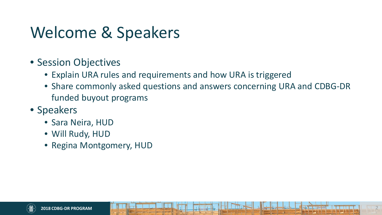## Welcome & Speakers

- Session Objectives
	- Explain URA rules and requirements and how URA is triggered
	- Share commonly asked questions and answers concerning URA and CDBG-DR funded buyout programs
- Speakers
	- Sara Neira, HUD
	- Will Rudy, HUD
	- Regina Montgomery, HUD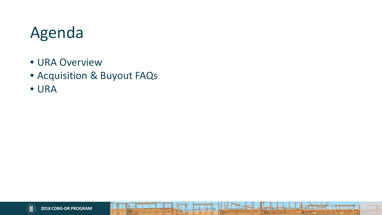## Agenda

- URA Overview
- Acquisition & Buyout FAQs
- URA

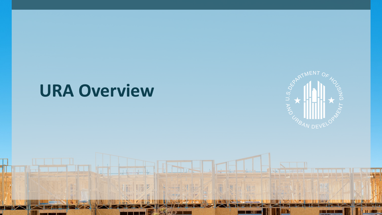## **URA Overview**



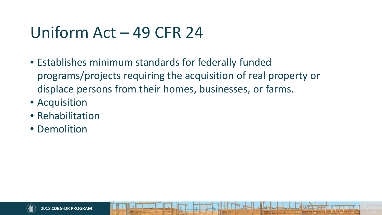## Uniform Act – 49 CFR 24

- Establishes minimum standards for federally funded programs/projects requiring the acquisition of real property or displace persons from their homes, businesses, or farms.
- Acquisition
- Rehabilitation
- Demolition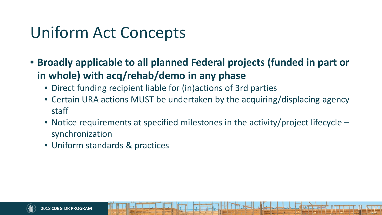## Uniform Act Concepts

- **Broadly applicable to all planned Federal projects (funded in part or in whole) with acq/rehab/demo in any phase** 
	- Direct funding recipient liable for (in)actions of 3rd parties
	- • Certain URA actions MUST be undertaken by the acquiring/displacing agency staff
	- • Notice requirements at specified milestones in the activity/project lifecycle synchronization
	- Uniform standards & practices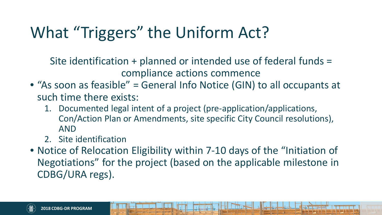## What "Triggers" the Uniform Act?

Site identification + planned or intended use of federal funds = compliance actions commence

- "As soon as feasible" = General Info Notice (GIN) to all occupants at such time there exists:
	- 1. Documented legal intent of a project (pre-application/applications, Con/Action Plan or Amendments, site specific City Council resolutions), AND
	- 2. Site identification
- Notice of Relocation Eligibility within 7-10 days of the "Initiation of Negotiations" for the project (based on the applicable milestone in CDBG/URA regs).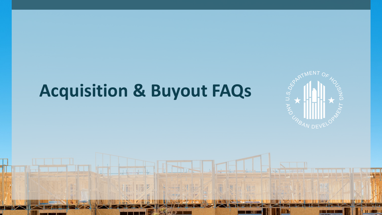

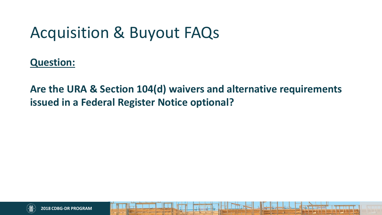**Question:** 

**Are the URA & Section 104(d) waivers and alternative requirements issued in a Federal Register Notice optional?** 

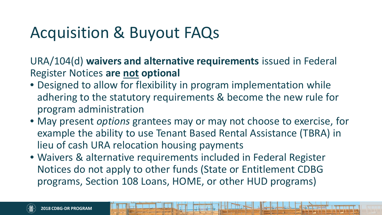URA/104(d) **waivers and alternative requirements** issued in Federal Register Notices **are not optional**

- Designed to allow for flexibility in program implementation while adhering to the statutory requirements & become the new rule for program administration
- May present *options* grantees may or may not choose to exercise, for example the ability to use Tenant Based Rental Assistance (TBRA) in lieu of cash URA relocation housing payments
- Waivers & alternative requirements included in Federal Register Notices do not apply to other funds (State or Entitlement CDBG programs, Section 108 Loans, HOME, or other HUD programs)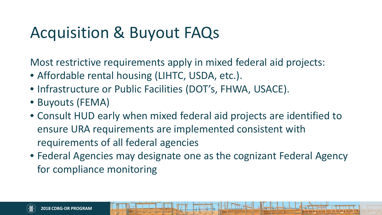Most restrictive requirements apply in mixed federal aid projects:

- Affordable rental housing (LIHTC, USDA, etc.).
- Infrastructure or Public Facilities (DOT's, FHWA, USACE).
- Buyouts (FEMA)
- Consult HUD early when mixed federal aid projects are identified to ensure URA requirements are implemented consistent with requirements of all federal agencies
- Federal Agencies may designate one as the cognizant Federal Agency for compliance monitoring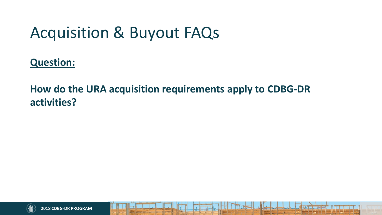**Question:**

#### **How do the URA acquisition requirements apply to CDBG-DR activities?**

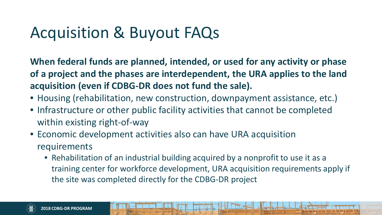**When federal funds are planned, intended, or used for any activity or phase of a project and the phases are interdependent, the URA applies to the land acquisition (even if CDBG-DR does not fund the sale).** 

- Housing (rehabilitation, new construction, downpayment assistance, etc.)
- Infrastructure or other public facility activities that cannot be completed within existing right-of-way
- Economic development activities also can have URA acquisition requirements
	- Rehabilitation of an industrial building acquired by a nonprofit to use it as a training center for workforce development, URA acquisition requirements apply if the site was completed directly for the CDBG-DR project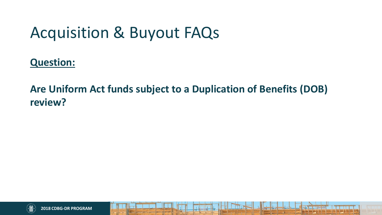**Question:**

**Are Uniform Act funds subject to a Duplication of Benefits (DOB) review?** 

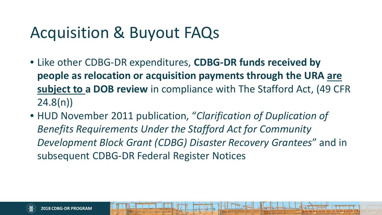- Like other CDBG-DR expenditures, **CDBG-DR funds received by people as relocation or acquisition payments through the URA are subject to a DOB review** in compliance with The Stafford Act, (49 CFR 24.8(n))
- HUD November 2011 publication, "*Clarification of Duplication of Benefits Requirements Under the Stafford Act for Community Development Block Grant (CDBG) Disaster Recovery Grantees*" and in subsequent CDBG-DR Federal Register Notices

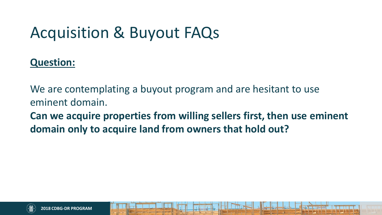#### **Question:**

We are contemplating a buyout program and are hesitant to use eminent domain.

**Can we acquire properties from willing sellers first, then use eminent domain only to acquire land from owners that hold out?** 

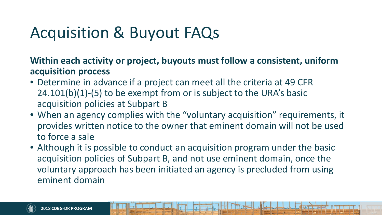**Within each activity or project, buyouts must follow a consistent, uniform acquisition process**

- Determine in advance if a project can meet all the criteria at 49 CFR 24.101(b)(1)-(5) to be exempt from or is subject to the URA's basic acquisition policies at Subpart B
- When an agency complies with the "voluntary acquisition" requirements, it provides written notice to the owner that eminent domain will not be used to force a sale
- Although it is possible to conduct an acquisition program under the basic acquisition policies of Subpart B, and not use eminent domain, once the voluntary approach has been initiated an agency is precluded from using eminent domain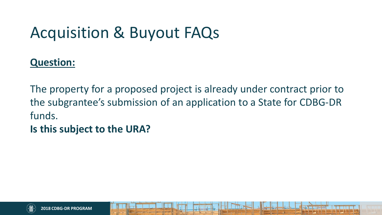#### **Question:**

The property for a proposed project is already under contract prior to the subgrantee's submission of an application to a State for CDBG-DR funds.

#### **Is this subject to the URA?**

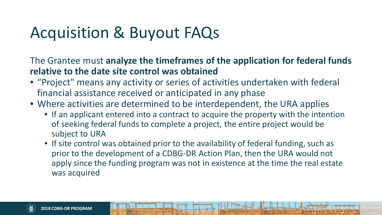The Grantee must **analyze the timeframes of the application for federal funds relative to the date site control was obtained**

- "Project" means any activity or series of activities undertaken with federal financial assistance received or anticipated in any phase
- Where activities are determined to be interdependent, the URA applies
	- If an applicant entered into a contract to acquire the property with the intention of seeking federal funds to complete a project, the entire project would be subject to URA
	- If site control was obtained prior to the availability of federal funding, such as prior to the development of a CDBG-DR Action Plan, then the URA would not apply since the funding program was not in existence at the time the real estate was acquired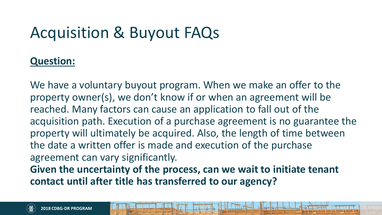#### **Question:**

We have a voluntary buyout program. When we make an offer to the property owner(s), we don't know if or when an agreement will be reached. Many factors can cause an application to fall out of the acquisition path. Execution of a purchase agreement is no guarantee the property will ultimately be acquired. Also, the length of time between the date a written offer is made and execution of the purchase agreement can vary significantly.

**Given the uncertainty of the process, can we wait to initiate tenant contact until after title has transferred to our agency?**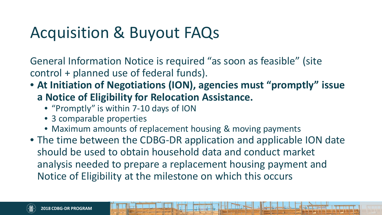General Information Notice is required "as soon as feasible" (site control + planned use of federal funds).

#### • **At Initiation of Negotiations (ION), agencies must "promptly" issue**

- **a Notice of Eligibility for Relocation Assistance.** 
	- "Promptly" is within 7-10 days of ION
	- 3 comparable properties
	- Maximum amounts of replacement housing & moving payments
- The time between the CDBG-DR application and applicable ION date should be used to obtain household data and conduct market analysis needed to prepare a replacement housing payment and Notice of Eligibility at the milestone on which this occurs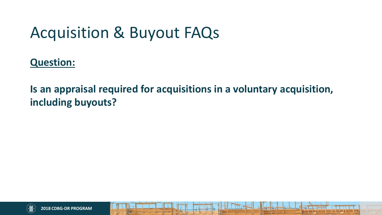**Question:**

**Is an appraisal required for acquisitions in a voluntary acquisition, including buyouts?**

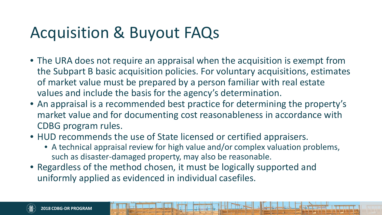- The URA does not require an appraisal when the acquisition is exempt from the Subpart B basic acquisition policies. For voluntary acquisitions, estimates of market value must be prepared by a person familiar with real estate values and include the basis for the agency's determination.
- An appraisal is a recommended best practice for determining the property's market value and for documenting cost reasonableness in accordance with CDBG program rules.
- HUD recommends the use of State licensed or certified appraisers.
	- A technical appraisal review for high value and/or complex valuation problems, such as disaster-damaged property, may also be reasonable.
- Regardless of the method chosen, it must be logically supported and uniformly applied as evidenced in individual casefiles.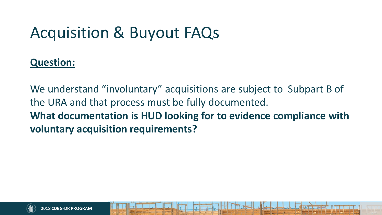#### **Question:**

We understand "involuntary" acquisitions are subject to Subpart B of the URA and that process must be fully documented. **What documentation is HUD looking for to evidence compliance with voluntary acquisition requirements?** 

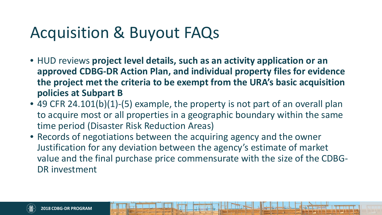- HUD reviews **project level details, such as an activity application or an approved CDBG-DR Action Plan, and individual property files for evidence the project met the criteria to be exempt from the URA's basic acquisition policies at Subpart B**
- 49 CFR 24.101(b)(1)-(5) example, the property is not part of an overall plan to acquire most or all properties in a geographic boundary within the same time period (Disaster Risk Reduction Areas)
- Records of negotiations between the acquiring agency and the owner Justification for any deviation between the agency's estimate of market value and the final purchase price commensurate with the size of the CDBG-DR investment

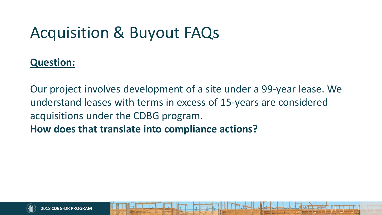#### **Question:**

Our project involves development of a site under a 99-year lease. We understand leases with terms in excess of 15-years are considered acquisitions under the CDBG program. **How does that translate into compliance actions?**

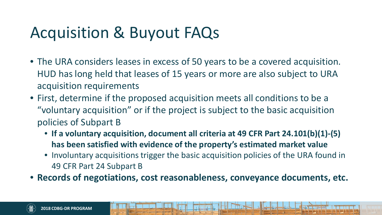- The URA considers leases in excess of 50 years to be a covered acquisition. HUD has long held that leases of 15 years or more are also subject to URA acquisition requirements
- First, determine if the proposed acquisition meets all conditions to be a "voluntary acquisition" or if the project is subject to the basic acquisition policies of Subpart B
	- **If a voluntary acquisition, document all criteria at 49 CFR Part 24.101(b)(1)-(5) has been satisfied with evidence of the property's estimated market value**
	- Involuntary acquisitions trigger the basic acquisition policies of the URA found in 49 CFR Part 24 Subpart B
- **Records of negotiations, cost reasonableness, conveyance documents, etc.**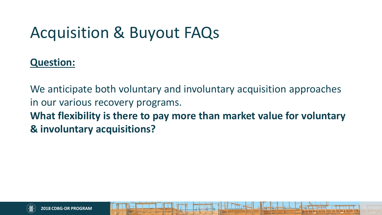#### **Question:**

We anticipate both voluntary and involuntary acquisition approaches in our various recovery programs. **What flexibility is there to pay more than market value for voluntary & involuntary acquisitions?**

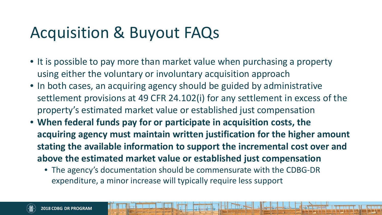- • It is possible to pay more than market value when purchasing a property using either the voluntary or involuntary acquisition approach
- In both cases, an acquiring agency should be guided by administrative settlement provisions at 49 CFR 24.102(i) for any settlement in excess of the property's estimated market value or established just compensation
- **When federal funds pay for or participate in acquisition costs, the above the estimated market value or established just compensation acquiring agency must maintain written justification for the higher amount stating the available information to support the incremental cost over and** 
	- • The agency's documentation should be commensurate with the CDBG-DR expenditure, a minor increase will typically require less support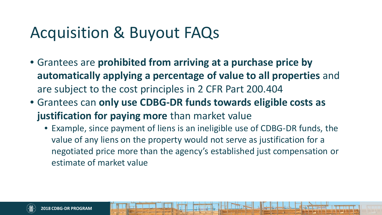- Grantees are **prohibited from arriving at a purchase price by automatically applying a percentage of value to all properties** and are subject to the cost principles in 2 CFR Part 200.404
- Grantees can **only use CDBG-DR funds towards eligible costs as justification for paying more** than market value
	- Example, since payment of liens is an ineligible use of CDBG-DR funds, the value of any liens on the property would not serve as justification for a negotiated price more than the agency's established just compensation or estimate of market value

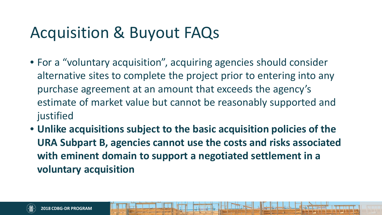- For a "voluntary acquisition", acquiring agencies should consider alternative sites to complete the project prior to entering into any purchase agreement at an amount that exceeds the agency's estimate of market value but cannot be reasonably supported and justified
- **Unlike acquisitions subject to the basic acquisition policies of the URA Subpart B, agencies cannot use the costs and risks associated with eminent domain to support a negotiated settlement in a voluntary acquisition**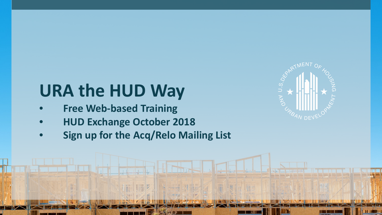# **URA the HUD Way**

• **Free Web-based Training**

**2018 CDBG-DR PROGRAM** 

- **HUD Exchange October 2018**
- **Sign up for the Acq/Relo Mailing List**